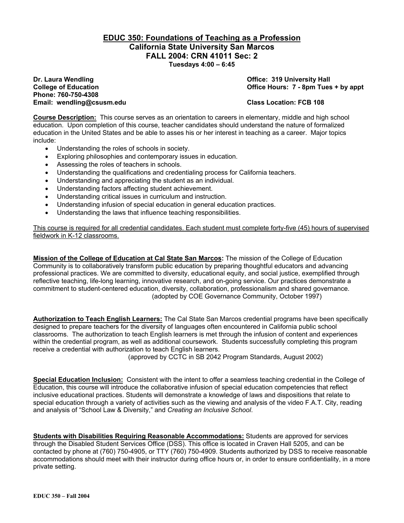### **EDUC 350: Foundations of Teaching as a Profession California State University San Marcos FALL 2004: CRN 41011 Sec: 2 Tuesdays 4:00 – 6:45**

**Dr. Laura Wendling Community Community Community Community Community Community Community Community Community Community Community Community Community Community Community Community Community Community Community Community Co Phone: 760-750-4308 Email: wendling@csusm.edu Class Location: FCB 108** 

**College of Education College of Education College Act College of Education College Act College Act College Act College Act Office Hours: 7 - 8pm Tues + by appt** 

**Course Description:** This course serves as an orientation to careers in elementary, middle and high school education. Upon completion of this course, teacher candidates should understand the nature of formalized education in the United States and be able to asses his or her interest in teaching as a career. Major topics include:

- Understanding the roles of schools in society.
- Exploring philosophies and contemporary issues in education.
- Assessing the roles of teachers in schools.
- Understanding the qualifications and credentialing process for California teachers.
- Understanding and appreciating the student as an individual.
- Understanding factors affecting student achievement.
- Understanding critical issues in curriculum and instruction.
- Understanding infusion of special education in general education practices.
- Understanding the laws that influence teaching responsibilities.

This course is required for all credential candidates. Each student must complete forty-five (45) hours of supervised fieldwork in K-12 classrooms.

**Mission of the College of Education at Cal State San Marcos:** The mission of the College of Education Community is to collaboratively transform public education by preparing thoughtful educators and advancing professional practices. We are committed to diversity, educational equity, and social justice, exemplified through reflective teaching, life-long learning, innovative research, and on-going service. Our practices demonstrate a commitment to student-centered education, diversity, collaboration, professionalism and shared governance. (adopted by COE Governance Community, October 1997)

**Authorization to Teach English Learners:** The Cal State San Marcos credential programs have been specifically designed to prepare teachers for the diversity of languages often encountered in California public school classrooms. The authorization to teach English learners is met through the infusion of content and experiences within the credential program, as well as additional coursework. Students successfully completing this program receive a credential with authorization to teach English learners.

(approved by CCTC in SB 2042 Program Standards, August 2002)

**Special Education Inclusion:** Consistent with the intent to offer a seamless teaching credential in the College of Education, this course will introduce the collaborative infusion of special education competencies that reflect inclusive educational practices. Students will demonstrate a knowledge of laws and dispositions that relate to special education through a variety of activities such as the viewing and analysis of the video F.A.T. City, reading and analysis of "School Law & Diversity," and *Creating an Inclusive School*.

**Students with Disabilities Requiring Reasonable Accommodations:** Students are approved for services through the Disabled Student Services Office (DSS). This office is located in Craven Hall 5205, and can be contacted by phone at (760) 750-4905, or TTY (760) 750-4909. Students authorized by DSS to receive reasonable accommodations should meet with their instructor during office hours or, in order to ensure confidentiality, in a more private setting.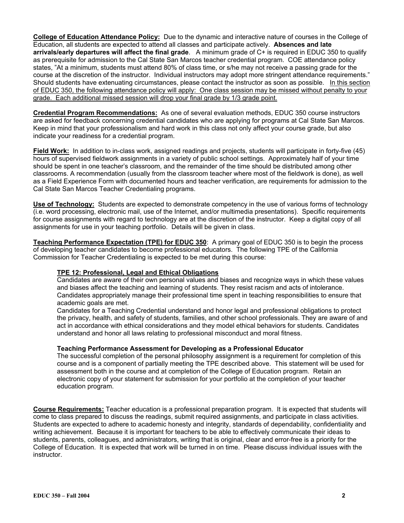**College of Education Attendance Policy:** Due to the dynamic and interactive nature of courses in the College of Education, all students are expected to attend all classes and participate actively. **Absences and late arrivals/early departures will affect the final grade**. A minimum grade of C+ is required in EDUC 350 to qualify as prerequisite for admission to the Cal State San Marcos teacher credential program. COE attendance policy states, "At a minimum, students must attend 80% of class time, or s/he may not receive a passing grade for the course at the discretion of the instructor. Individual instructors may adopt more stringent attendance requirements." Should students have extenuating circumstances, please contact the instructor as soon as possible. In this section of EDUC 350, the following attendance policy will apply: One class session may be missed without penalty to your grade. Each additional missed session will drop your final grade by 1/3 grade point.

**Credential Program Recommendations:** As one of several evaluation methods, EDUC 350 course instructors are asked for feedback concerning credential candidates who are applying for programs at Cal State San Marcos. Keep in mind that your professionalism and hard work in this class not only affect your course grade, but also indicate your readiness for a credential program.

**Field Work:** In addition to in-class work, assigned readings and projects, students will participate in forty-five (45) hours of supervised fieldwork assignments in a variety of public school settings. Approximately half of your time should be spent in one teacher's classroom, and the remainder of the time should be distributed among other classrooms. A recommendation (usually from the classroom teacher where most of the fieldwork is done), as well as a Field Experience Form with documented hours and teacher verification, are requirements for admission to the Cal State San Marcos Teacher Credentialing programs.

**Use of Technology:** Students are expected to demonstrate competency in the use of various forms of technology (i.e. word processing, electronic mail, use of the Internet, and/or multimedia presentations). Specific requirements for course assignments with regard to technology are at the discretion of the instructor. Keep a digital copy of all assignments for use in your teaching portfolio. Details will be given in class.

**Teaching Performance Expectation (TPE) for EDUC 350**: A primary goal of EDUC 350 is to begin the process of developing teacher candidates to become professional educators. The following TPE of the California Commission for Teacher Credentialing is expected to be met during this course:

### **TPE 12: Professional, Legal and Ethical Obligations**

Candidates are aware of their own personal values and biases and recognize ways in which these values and biases affect the teaching and learning of students. They resist racism and acts of intolerance. Candidates appropriately manage their professional time spent in teaching responsibilities to ensure that academic goals are met.

Candidates for a Teaching Credential understand and honor legal and professional obligations to protect the privacy, health, and safety of students, families, and other school professionals. They are aware of and act in accordance with ethical considerations and they model ethical behaviors for students. Candidates understand and honor all laws relating to professional misconduct and moral fitness.

### **Teaching Performance Assessment for Developing as a Professional Educator**

The successful completion of the personal philosophy assignment is a requirement for completion of this course and is a component of partially meeting the TPE described above. This statement will be used for assessment both in the course and at completion of the College of Education program. Retain an electronic copy of your statement for submission for your portfolio at the completion of your teacher education program.

**Course Requirements:** Teacher education is a professional preparation program. It is expected that students will come to class prepared to discuss the readings, submit required assignments, and participate in class activities. Students are expected to adhere to academic honesty and integrity, standards of dependability, confidentiality and writing achievement. Because it is important for teachers to be able to effectively communicate their ideas to students, parents, colleagues, and administrators, writing that is original, clear and error-free is a priority for the College of Education. It is expected that work will be turned in on time. Please discuss individual issues with the instructor.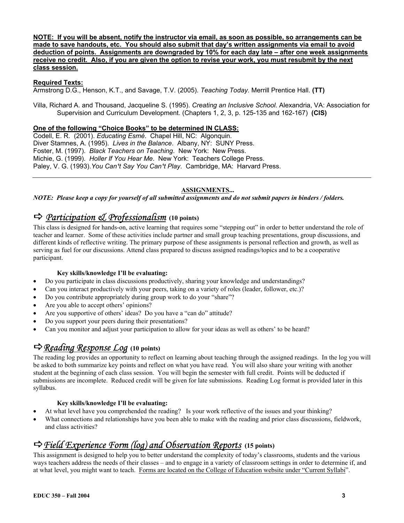**NOTE: If you will be absent, notify the instructor via email, as soon as possible, so arrangements can be made to save handouts, etc. You should also submit that day's written assignments via email to avoid deduction of points. Assignments are downgraded by 10% for each day late – after one week assignments receive no credit. Also, if you are given the option to revise your work, you must resubmit by the next class session.**

### **Required Texts:**

Armstrong D.G., Henson, K.T., and Savage, T.V. (2005). *Teaching Today.* Merrill Prentice Hall. **(TT)**

Villa, Richard A. and Thousand, Jacqueline S. (1995). *Creating an Inclusive School.* Alexandria, VA: Association for Supervision and Curriculum Development. (Chapters 1, 2, 3, p. 125-135 and 162-167) **(CIS)**

### **One of the following "Choice Books" to be determined IN CLASS:**

Codell, E. R. (2001). *Educating Esmé*. Chapel Hill, NC: Algonquin. Diver Stamnes, A. (1995). *Lives in the Balance*. Albany, NY: SUNY Press. Foster, M. (1997). *Black Teachers on Teaching*. New York: New Press. Michie, G. (1999). *Holler If You Hear Me*. New York: Teachers College Press. Paley, V. G. (1993). You Can<sup>1</sup>t Say You Can<sup>1</sup>t Play. Cambridge, MA: Harvard Press.

### **ASSIGNMENTS...**

*NOTE: Please keep a copy for yourself of all submitted assignments and do not submit papers in binders / folders.* 

# D *Participation & Professionalism* **(10 points)**

This class is designed for hands-on, active learning that requires some "stepping out" in order to better understand the role of teacher and learner. Some of these activities include partner and small group teaching presentations, group discussions, and different kinds of reflective writing. The primary purpose of these assignments is personal reflection and growth, as well as serving as fuel for our discussions. Attend class prepared to discuss assigned readings/topics and to be a cooperative participant.

### **Key skills/knowledge I'll be evaluating:**

- Do you participate in class discussions productively, sharing your knowledge and understandings?
- Can you interact productively with your peers, taking on a variety of roles (leader, follower, etc.)?
- Do you contribute appropriately during group work to do your "share"?
- Are you able to accept others' opinions?
- Are you supportive of others' ideas? Do you have a "can do" attitude?
- Do you support your peers during their presentations?
- Can you monitor and adjust your participation to allow for your ideas as well as others' to be heard?

## D*Reading Response Log* **(10 points)**

The reading log provides an opportunity to reflect on learning about teaching through the assigned readings. In the log you will be asked to both summarize key points and reflect on what you have read. You will also share your writing with another student at the beginning of each class session. You will begin the semester with full credit. Points will be deducted if submissions are incomplete. Reduced credit will be given for late submissions. Reading Log format is provided later in this syllabus.

### **Key skills/knowledge I'll be evaluating:**

- At what level have you comprehended the reading? Is your work reflective of the issues and your thinking?
- What connections and relationships have you been able to make with the reading and prior class discussions, fieldwork, and class activities?

# D*Field Experience Form (log) and Observation Reports* **(15 points)**

This assignment is designed to help you to better understand the complexity of today's classrooms, students and the various ways teachers address the needs of their classes – and to engage in a variety of classroom settings in order to determine if, and at what level, you might want to teach. Forms are located on the College of Education website under "Current Syllabi".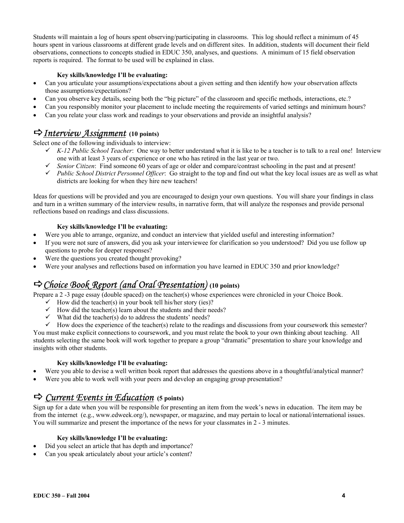Students will maintain a log of hours spent observing/participating in classrooms. This log should reflect a minimum of 45 hours spent in various classrooms at different grade levels and on different sites. In addition, students will document their field observations, connections to concepts studied in EDUC 350, analyses, and questions. A minimum of 15 field observation reports is required. The format to be used will be explained in class.

### **Key skills/knowledge I'll be evaluating:**

- Can you articulate your assumptions/expectations about a given setting and then identify how your observation affects those assumptions/expectations?
- Can you observe key details, seeing both the "big picture" of the classroom and specific methods, interactions, etc.?
- Can you responsibly monitor your placement to include meeting the requirements of varied settings and minimum hours?
- Can you relate your class work and readings to your observations and provide an insightful analysis?

### D*Interview Assignment* **(10 points)**

Select one of the following individuals to interview:

- $\checkmark$  *K-12 Public School Teacher*: One way to better understand what it is like to be a teacher is to talk to a real one! Interview one with at least 3 years of experience or one who has retired in the last year or two.
- $\checkmark$  *Senior Citizen*: Find someone 60 years of age or older and compare/contrast schooling in the past and at present!
- 9 *Public School District Personnel Officer*: Go straight to the top and find out what the key local issues are as well as what districts are looking for when they hire new teachers!

Ideas for questions will be provided and you are encouraged to design your own questions. You will share your findings in class and turn in a written summary of the interview results, in narrative form, that will analyze the responses and provide personal reflections based on readings and class discussions.

### **Key skills/knowledge I'll be evaluating:**

- Were you able to arrange, organize, and conduct an interview that yielded useful and interesting information?
- If you were not sure of answers, did you ask your interviewee for clarification so you understood? Did you use follow up questions to probe for deeper responses?
- Were the questions you created thought provoking?
- Were your analyses and reflections based on information you have learned in EDUC 350 and prior knowledge?

# D*Choice Book Report (and Oral Presentation)* **(10 points)**

Prepare a 2 -3 page essay (double spaced) on the teacher(s) whose experiences were chronicled in your Choice Book.

- $\checkmark$  How did the teacher(s) in your book tell his/her story (ies)?
- $\checkmark$  How did the teacher(s) learn about the students and their needs?
- $\checkmark$  What did the teacher(s) do to address the students' needs?
- $\checkmark$  How does the experience of the teacher(s) relate to the readings and discussions from your coursework this semester?

You must make explicit connections to coursework, and you must relate the book to your own thinking about teaching. All students selecting the same book will work together to prepare a group "dramatic" presentation to share your knowledge and insights with other students.

### **Key skills/knowledge I'll be evaluating:**

- Were you able to devise a well written book report that addresses the questions above in a thoughtful/analytical manner?
- Were you able to work well with your peers and develop an engaging group presentation?

### D *Current Events in Education* **(5 points)**

Sign up for a date when you will be responsible for presenting an item from the week's news in education. The item may be from the internet (e.g., www.edweek.org/), newspaper, or magazine, and may pertain to local or national/international issues. You will summarize and present the importance of the news for your classmates in 2 - 3 minutes.

### **Key skills/knowledge I'll be evaluating:**

- Did you select an article that has depth and importance?
- Can you speak articulately about your article's content?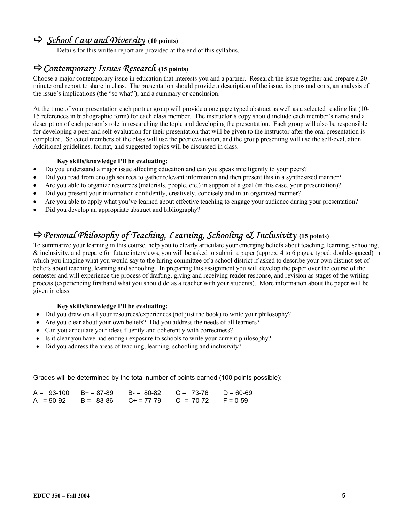# D*School Law and Diversity* **(10 points)**

Details for this written report are provided at the end of this syllabus.

### D*Contemporary Issues Research* **(15 points)**

Choose a major contemporary issue in education that interests you and a partner. Research the issue together and prepare a 20 minute oral report to share in class. The presentation should provide a description of the issue, its pros and cons, an analysis of the issue's implications (the "so what"), and a summary or conclusion.

At the time of your presentation each partner group will provide a one page typed abstract as well as a selected reading list (10- 15 references in bibliographic form) for each class member. The instructor's copy should include each member's name and a description of each person's role in researching the topic and developing the presentation. Each group will also be responsible for developing a peer and self-evaluation for their presentation that will be given to the instructor after the oral presentation is completed. Selected members of the class will use the peer evaluation, and the group presenting will use the self-evaluation. Additional guidelines, format, and suggested topics will be discussed in class.

### **Key skills/knowledge I'll be evaluating:**

- Do you understand a major issue affecting education and can you speak intelligently to your peers?
- Did you read from enough sources to gather relevant information and then present this in a synthesized manner?
- Are you able to organize resources (materials, people, etc.) in support of a goal (in this case, your presentation)?
- Did you present your information confidently, creatively, concisely and in an organized manner?
- Are you able to apply what you've learned about effective teaching to engage your audience during your presentation?
- Did you develop an appropriate abstract and bibliography?

# D*Personal Philosophy of Teaching, Learning, Schooling & Inclusivity* **(15 points)**

To summarize your learning in this course, help you to clearly articulate your emerging beliefs about teaching, learning, schooling, & inclusivity, and prepare for future interviews, you will be asked to submit a paper (approx. 4 to 6 pages, typed, double-spaced) in which you imagine what you would say to the hiring committee of a school district if asked to describe your own distinct set of beliefs about teaching, learning and schooling. In preparing this assignment you will develop the paper over the course of the semester and will experience the process of drafting, giving and receiving reader response, and revision as stages of the writing process (experiencing firsthand what you should do as a teacher with your students). More information about the paper will be given in class.

### **Key skills/knowledge I'll be evaluating:**

- Did you draw on all your resources/experiences (not just the book) to write your philosophy?
- Are you clear about your own beliefs? Did you address the needs of all learners?
- Can you articulate your ideas fluently and coherently with correctness?
- Is it clear you have had enough exposure to schools to write your current philosophy?
- Did you address the areas of teaching, learning, schooling and inclusivity?

Grades will be determined by the total number of points earned (100 points possible):

| $A = 93-100$ $B+ = 87-89$ |                                                        | $B = 80-82$ $C = 73-76$ $D = 60-69$ |  |
|---------------------------|--------------------------------------------------------|-------------------------------------|--|
|                           | $A = 90-92$ B = 83-86 C + = 77-79 C - = 70-72 F = 0-59 |                                     |  |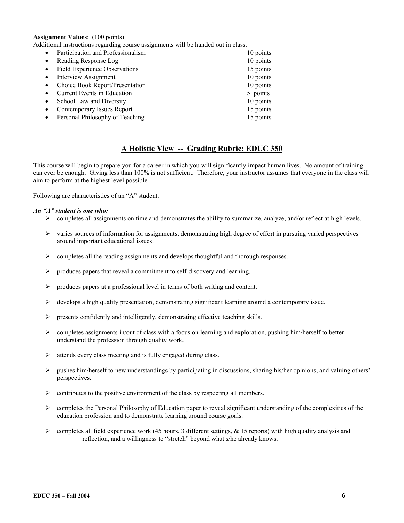### **Assignment Values**: (100 points)

Additional instructions regarding course assignments will be handed out in class.

| $\bullet$ | Participation and Professionalism    | 10 points |
|-----------|--------------------------------------|-----------|
| $\bullet$ | Reading Response Log                 | 10 points |
| $\bullet$ | <b>Field Experience Observations</b> | 15 points |
| $\bullet$ | <b>Interview Assignment</b>          | 10 points |
| $\bullet$ | Choice Book Report/Presentation      | 10 points |
|           | Current Events in Education          | 5 points  |
| $\bullet$ | School Law and Diversity             | 10 points |
| $\bullet$ | Contemporary Issues Report           | 15 points |
|           | Personal Philosophy of Teaching      | 15 points |

### **A Holistic View -- Grading Rubric: EDUC 350**

This course will begin to prepare you for a career in which you will significantly impact human lives. No amount of training can ever be enough. Giving less than 100% is not sufficient. Therefore, your instructor assumes that everyone in the class will aim to perform at the highest level possible.

Following are characteristics of an "A" student.

#### *An "A" student is one who:*

- $\triangleright$  completes all assignments on time and demonstrates the ability to summarize, analyze, and/or reflect at high levels.
- $\triangleright$  varies sources of information for assignments, demonstrating high degree of effort in pursuing varied perspectives around important educational issues.
- $\triangleright$  completes all the reading assignments and develops thoughtful and thorough responses.
- $\triangleright$  produces papers that reveal a commitment to self-discovery and learning.
- ¾ produces papers at a professional level in terms of both writing and content.
- $\triangleright$  develops a high quality presentation, demonstrating significant learning around a contemporary issue.
- ¾ presents confidently and intelligently, demonstrating effective teaching skills.
- $\triangleright$  completes assignments in/out of class with a focus on learning and exploration, pushing him/herself to better understand the profession through quality work.
- $\triangleright$  attends every class meeting and is fully engaged during class.
- $\triangleright$  pushes him/herself to new understandings by participating in discussions, sharing his/her opinions, and valuing others' perspectives.
- $\triangleright$  contributes to the positive environment of the class by respecting all members.
- $\triangleright$  completes the Personal Philosophy of Education paper to reveal significant understanding of the complexities of the education profession and to demonstrate learning around course goals.
- $\triangleright$  completes all field experience work (45 hours, 3 different settings, & 15 reports) with high quality analysis and reflection, and a willingness to "stretch" beyond what s/he already knows.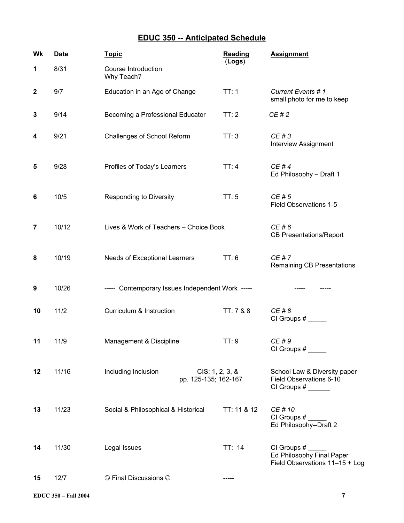# **EDUC 350 -- Anticipated Schedule**

| Wk               | <b>Date</b> | <b>Topic</b>                                                   | <b>Reading</b><br>(Logs) | <b>Assignment</b>                                                          |  |
|------------------|-------------|----------------------------------------------------------------|--------------------------|----------------------------------------------------------------------------|--|
| 1                | 8/31        | Course Introduction<br>Why Teach?                              |                          |                                                                            |  |
| $\boldsymbol{2}$ | 9/7         | Education in an Age of Change                                  | TT:1                     | Current Events # 1<br>small photo for me to keep                           |  |
| 3                | 9/14        | Becoming a Professional Educator                               | TT:2                     | CE # 2                                                                     |  |
| 4                | 9/21        | Challenges of School Reform                                    | TT:3                     | CE#3<br><b>Interview Assignment</b>                                        |  |
| 5                | 9/28        | Profiles of Today's Learners                                   | TT:4                     | CE #4<br>Ed Philosophy - Draft 1                                           |  |
| 6                | 10/5        | <b>Responding to Diversity</b>                                 | TT:5                     | CE#5<br>Field Observations 1-5                                             |  |
| 7                | 10/12       | Lives & Work of Teachers - Choice Book                         |                          | CE # 6<br><b>CB Presentations/Report</b>                                   |  |
| 8                | 10/19       | Needs of Exceptional Learners                                  | TT: 6                    | CE # 7<br>Remaining CB Presentations                                       |  |
| 9                | 10/26       | ----- Contemporary Issues Independent Work -----               |                          |                                                                            |  |
| 10               | $11/2$      | Curriculum & Instruction                                       | TT: 7 & 8                | CE # 8                                                                     |  |
| 11               | 11/9        | Management & Discipline                                        | TT:9                     | CE # 9<br>CI Groups #                                                      |  |
| 12               | 11/16       | Including Inclusion<br>CIS: 1, 2, 3, 8<br>pp. 125-135; 162-167 |                          | School Law & Diversity paper<br>Field Observations 6-10                    |  |
| 13               | 11/23       | Social & Philosophical & Historical                            | TT: 11 & 12              | CE # 10<br>CI Groups #<br>Ed Philosophy--Draft 2                           |  |
| 14               | 11/30       | Legal Issues                                                   | TT: 14                   | CI Groups #<br>Ed Philosophy Final Paper<br>Field Observations 11-15 + Log |  |
| 15               | 12/7        | © Final Discussions ©                                          |                          |                                                                            |  |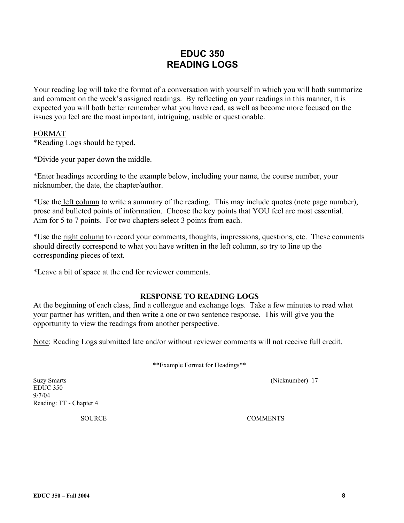# **EDUC 350 READING LOGS**

Your reading log will take the format of a conversation with yourself in which you will both summarize and comment on the week's assigned readings. By reflecting on your readings in this manner, it is expected you will both better remember what you have read, as well as become more focused on the issues you feel are the most important, intriguing, usable or questionable.

### FORMAT

\*Reading Logs should be typed.

\*Divide your paper down the middle.

\*Enter headings according to the example below, including your name, the course number, your nicknumber, the date, the chapter/author.

\*Use the left column to write a summary of the reading. This may include quotes (note page number), prose and bulleted points of information. Choose the key points that YOU feel are most essential. Aim for 5 to 7 points. For two chapters select 3 points from each.

\*Use the right column to record your comments, thoughts, impressions, questions, etc. These comments should directly correspond to what you have written in the left column, so try to line up the corresponding pieces of text.

\*Leave a bit of space at the end for reviewer comments.

### **RESPONSE TO READING LOGS**

At the beginning of each class, find a colleague and exchange logs. Take a few minutes to read what your partner has written, and then write a one or two sentence response. This will give you the opportunity to view the readings from another perspective.

Note: Reading Logs submitted late and/or without reviewer comments will not receive full credit.

| ** Example Format for Headings**                                           |                 |  |  |  |
|----------------------------------------------------------------------------|-----------------|--|--|--|
| <b>Suzy Smarts</b><br><b>EDUC 350</b><br>9/7/04<br>Reading: TT - Chapter 4 | (Nicknumber) 17 |  |  |  |
| <b>SOURCE</b>                                                              | <b>COMMENTS</b> |  |  |  |
|                                                                            |                 |  |  |  |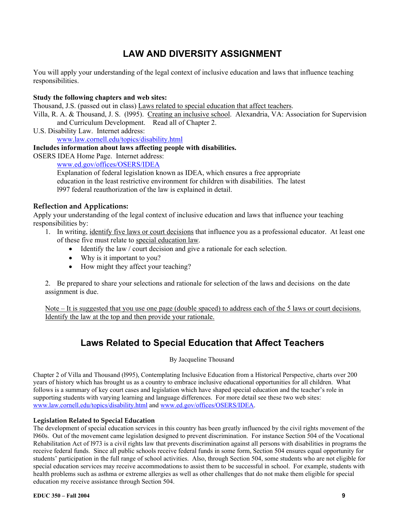# **LAW AND DIVERSITY ASSIGNMENT**

You will apply your understanding of the legal context of inclusive education and laws that influence teaching responsibilities.

### **Study the following chapters and web sites:**

Thousand, J.S. (passed out in class) Laws related to special education that affect teachers.

Villa, R. A. & Thousand, J. S. (l995). Creating an inclusive school. Alexandria, VA: Association for Supervision and Curriculum Development. Read all of Chapter 2.

U.S. Disability Law. Internet address:

www.law.cornell.edu/topics/disability.html

### **Includes information about laws affecting people with disabilities.**

OSERS IDEA Home Page. Internet address:

www.ed.gov/offices/OSERS/IDEA

Explanation of federal legislation known as IDEA, which ensures a free appropriate education in the least restrictive environment for children with disabilities. The latest l997 federal reauthorization of the law is explained in detail.

### **Reflection and Applications:**

Apply your understanding of the legal context of inclusive education and laws that influence your teaching responsibilities by:

- 1. In writing, identify five laws or court decisions that influence you as a professional educator. At least one of these five must relate to special education law.
	- Identify the law / court decision and give a rationale for each selection.
	- Why is it important to you?
	- How might they affect your teaching?

2. Be prepared to share your selections and rationale for selection of the laws and decisions on the date assignment is due.

Note – It is suggested that you use one page (double spaced) to address each of the 5 laws or court decisions. Identify the law at the top and then provide your rationale.

# **Laws Related to Special Education that Affect Teachers**

By Jacqueline Thousand

Chapter 2 of Villa and Thousand (l995), Contemplating Inclusive Education from a Historical Perspective, charts over 200 years of history which has brought us as a country to embrace inclusive educational opportunities for all children. What follows is a summary of key court cases and legislation which have shaped special education and the teacher's role in supporting students with varying learning and language differences. For more detail see these two web sites: www.law.cornell.edu/topics/disability.html and www.ed.gov/offices/OSERS/IDEA.

### **Legislation Related to Special Education**

The development of special education services in this country has been greatly influenced by the civil rights movement of the l960s. Out of the movement came legislation designed to prevent discrimination. For instance Section 504 of the Vocational Rehabilitation Act of l973 is a civil rights law that prevents discrimination against all persons with disabilities in programs the receive federal funds. Since all public schools receive federal funds in some form, Section 504 ensures equal opportunity for students' participation in the full range of school activities. Also, through Section 504, some students who are not eligible for special education services may receive accommodations to assist them to be successful in school. For example, students with health problems such as asthma or extreme allergies as well as other challenges that do not make them eligible for special education my receive assistance through Section 504.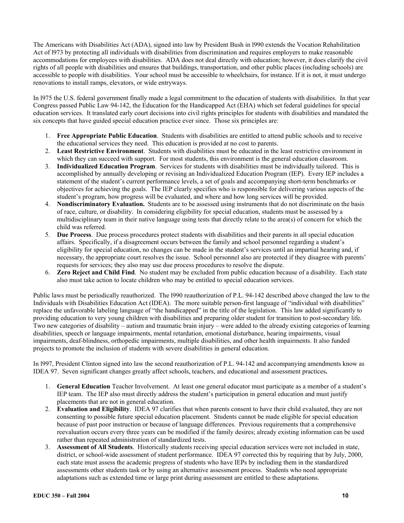The Americans with Disabilities Act (ADA), signed into law by President Bush in l990 extends the Vocation Rehabilitation Act of l973 by protecting all individuals with disabilities from discrimination and requires employers to make reasonable accommodations for employees with disabilities. ADA does not deal directly with education; however, it does clarify the civil rights of all people with disabilities and ensures that buildings, transportation, and other public places (including schools) are accessible to people with disabilities. Your school must be accessible to wheelchairs, for instance. If it is not, it must undergo renovations to install ramps, elevators, or wide entryways.

In l975 the U.S. federal government finally made a legal commitment to the education of students with disabilities. In that year Congress passed Public Law 94-142, the Education for the Handicapped Act (EHA) which set federal guidelines for special education services. It translated early court decisions into civil rights principles for students with disabilities and mandated the six concepts that have guided special education practice ever since. Those six principles are:

- 1. **Free Appropriate Public Education**. Students with disabilities are entitled to attend public schools and to receive the educational services they need. This education is provided at no cost to parents.
- 2. **Least Restrictive Environment**. Students with disabilities must be educated in the least restrictive environment in which they can succeed with support. For most students, this environment is the general education classroom.
- 3. **Individualized Education Program**. Services for students with disabilities must be individually tailored. This is accomplished by annually developing or revising an Individualized Education Program (IEP). Every IEP includes a statement of the student's current performance levels, a set of goals and accompanying short-term benchmarks or objectives for achieving the goals. The IEP clearly specifies who is responsible for delivering various aspects of the student's program, how progress will be evaluated, and where and how long services will be provided.
- 4. **Nondiscriminatory Evaluation.** Students are to be assessed using instruments that do not discriminate on the basis of race, culture, or disability. In considering eligibility for special education, students must be assessed by a multidisciplinary team in their native language using tests that directly relate to the area(s) of concern for which the child was referred.
- 5. **Due Process**. Due process procedures protect students with disabilities and their parents in all special education affairs. Specifically, if a disagreement occurs between the family and school personnel regarding a student's eligibility for special education, no changes can be made in the student's services until an impartial hearing and, if necessary, the appropriate court resolves the issue. School personnel also are protected if they disagree with parents' requests for services; they also may use due process procedures to resolve the dispute.
- 6. **Zero Reject and Child Find**. No student may be excluded from public education because of a disability. Each state also must take action to locate children who may be entitled to special education services.

Public laws must be periodically reauthorized. The l990 reauthorization of P.L. 94-142 described above changed the law to the Individuals with Disabilities Education Act (IDEA). The more suitable person-first language of "individual with disabilities" replace the unfavorable labeling language of "the handicapped" in the title of the legislation. This law added significantly to providing education to very young children with disabilities and preparing older student for transition to post-secondary life. Two new categories of disability – autism and traumatic brain injury – were added to the already existing categories of learning disabilities, speech or language impairments, mental retardation, emotional disturbance, hearing impairments, visual impairments, deaf-blindness, orthopedic impairments, multiple disabilities, and other health impairments. It also funded projects to promote the inclusion of students with severe disabilities in general education.

In l997, President Clinton signed into law the second reauthorization of P.L. 94-142 and accompanying amendments know as IDEA 97. Seven significant changes greatly affect schools, teachers, and educational and assessment practices**.** 

- 1. **General Education** Teacher Involvement. At least one general educator must participate as a member of a student's IEP team. The IEP also must directly address the student's participation in general education and must justify placements that are not in general education.
- 2. **Evaluation and Eligibility**. IDEA 97 clarifies that when parents consent to have their child evaluated, they are not consenting to possible future special education placement. Students cannot be made eligible for special education because of past poor instruction or because of language differences. Previous requirements that a comprehensive reevaluation occurs every three years can be modified if the family desires; already existing information can be used rather than repeated administration of standardized tests.
- 3. **Assessment of All Students**. Historically students receiving special education services were not included in state, district, or school-wide assessment of student performance. IDEA 97 corrected this by requiring that by July, 2000, each state must assess the academic progress of students who have IEPs by including them in the standardized assessments other students task or by using an alternative assessment process. Students who need appropriate adaptations such as extended time or large print during assessment are entitled to these adaptations.